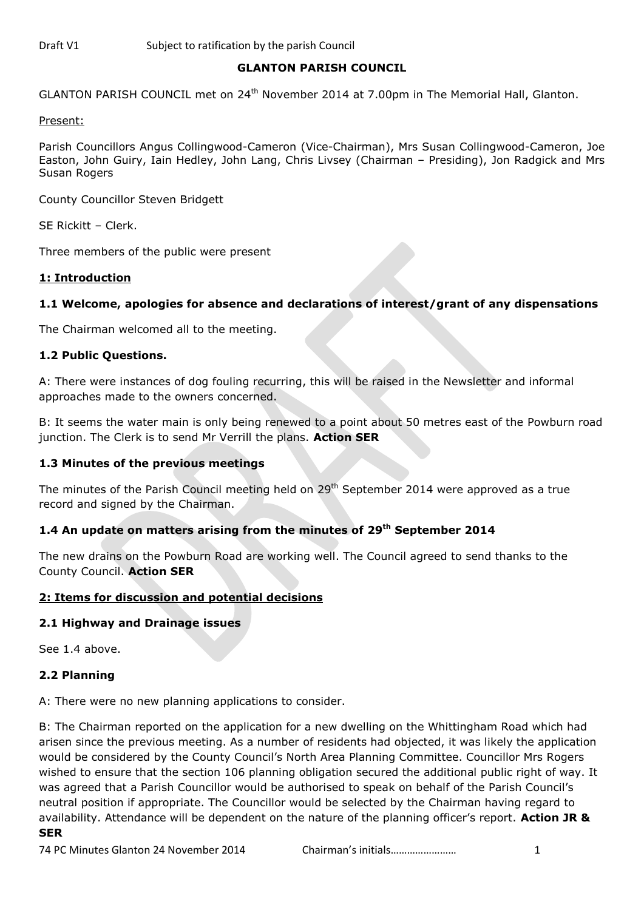### **GLANTON PARISH COUNCIL**

GLANTON PARISH COUNCIL met on 24<sup>th</sup> November 2014 at 7.00pm in The Memorial Hall, Glanton.

#### Present:

Parish Councillors Angus Collingwood-Cameron (Vice-Chairman), Mrs Susan Collingwood-Cameron, Joe Easton, John Guiry, Iain Hedley, John Lang, Chris Livsey (Chairman – Presiding), Jon Radgick and Mrs Susan Rogers

County Councillor Steven Bridgett

SE Rickitt – Clerk.

Three members of the public were present

#### **1: Introduction**

#### **1.1 Welcome, apologies for absence and declarations of interest/grant of any dispensations**

The Chairman welcomed all to the meeting.

#### **1.2 Public Questions.**

A: There were instances of dog fouling recurring, this will be raised in the Newsletter and informal approaches made to the owners concerned.

B: It seems the water main is only being renewed to a point about 50 metres east of the Powburn road junction. The Clerk is to send Mr Verrill the plans. **Action SER**

#### **1.3 Minutes of the previous meetings**

The minutes of the Parish Council meeting held on 29<sup>th</sup> September 2014 were approved as a true record and signed by the Chairman.

#### **1.4 An update on matters arising from the minutes of 29 th September 2014**

The new drains on the Powburn Road are working well. The Council agreed to send thanks to the County Council. **Action SER**

#### **2: Items for discussion and potential decisions**

#### **2.1 Highway and Drainage issues**

See 1.4 above.

#### **2.2 Planning**

A: There were no new planning applications to consider.

B: The Chairman reported on the application for a new dwelling on the Whittingham Road which had arisen since the previous meeting. As a number of residents had objected, it was likely the application would be considered by the County Council's North Area Planning Committee. Councillor Mrs Rogers wished to ensure that the section 106 planning obligation secured the additional public right of way. It was agreed that a Parish Councillor would be authorised to speak on behalf of the Parish Council's neutral position if appropriate. The Councillor would be selected by the Chairman having regard to availability. Attendance will be dependent on the nature of the planning officer's report. **Action JR & SER**

#### 74 PC Minutes Glanton 24 November 2014 Chairman's initials…………………… 1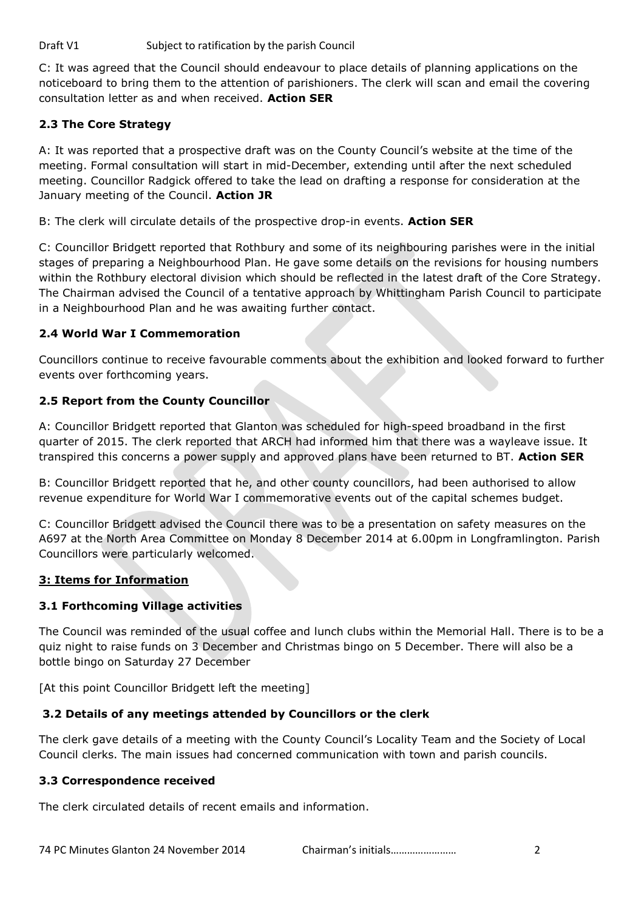C: It was agreed that the Council should endeavour to place details of planning applications on the noticeboard to bring them to the attention of parishioners. The clerk will scan and email the covering consultation letter as and when received. **Action SER**

# **2.3 The Core Strategy**

A: It was reported that a prospective draft was on the County Council's website at the time of the meeting. Formal consultation will start in mid-December, extending until after the next scheduled meeting. Councillor Radgick offered to take the lead on drafting a response for consideration at the January meeting of the Council. **Action JR**

B: The clerk will circulate details of the prospective drop-in events. **Action SER**

C: Councillor Bridgett reported that Rothbury and some of its neighbouring parishes were in the initial stages of preparing a Neighbourhood Plan. He gave some details on the revisions for housing numbers within the Rothbury electoral division which should be reflected in the latest draft of the Core Strategy. The Chairman advised the Council of a tentative approach by Whittingham Parish Council to participate in a Neighbourhood Plan and he was awaiting further contact.

## **2.4 World War I Commemoration**

Councillors continue to receive favourable comments about the exhibition and looked forward to further events over forthcoming years.

## **2.5 Report from the County Councillor**

A: Councillor Bridgett reported that Glanton was scheduled for high-speed broadband in the first quarter of 2015. The clerk reported that ARCH had informed him that there was a wayleave issue. It transpired this concerns a power supply and approved plans have been returned to BT. **Action SER**

B: Councillor Bridgett reported that he, and other county councillors, had been authorised to allow revenue expenditure for World War I commemorative events out of the capital schemes budget.

C: Councillor Bridgett advised the Council there was to be a presentation on safety measures on the A697 at the North Area Committee on Monday 8 December 2014 at 6.00pm in Longframlington. Parish Councillors were particularly welcomed.

### **3: Items for Information**

### **3.1 Forthcoming Village activities**

The Council was reminded of the usual coffee and lunch clubs within the Memorial Hall. There is to be a quiz night to raise funds on 3 December and Christmas bingo on 5 December. There will also be a bottle bingo on Saturday 27 December

[At this point Councillor Bridgett left the meeting]

### **3.2 Details of any meetings attended by Councillors or the clerk**

The clerk gave details of a meeting with the County Council's Locality Team and the Society of Local Council clerks. The main issues had concerned communication with town and parish councils.

### **3.3 Correspondence received**

The clerk circulated details of recent emails and information.